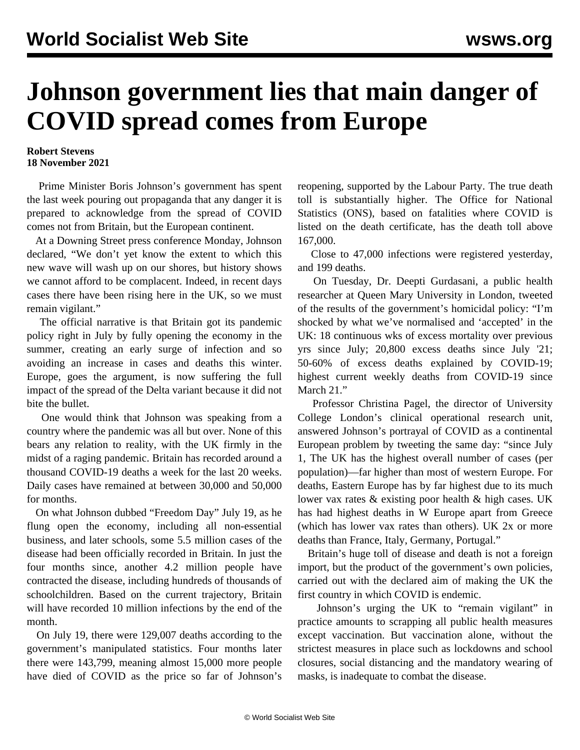## **Johnson government lies that main danger of COVID spread comes from Europe**

## **Robert Stevens 18 November 2021**

 Prime Minister Boris Johnson's government has spent the last week pouring out propaganda that any danger it is prepared to acknowledge from the spread of COVID comes not from Britain, but the European continent.

 At a Downing Street press conference Monday, Johnson declared, "We don't yet know the extent to which this new wave will wash up on our shores, but history shows we cannot afford to be complacent. Indeed, in recent days cases there have been rising here in the UK, so we must remain vigilant."

 The official narrative is that Britain got its pandemic policy right in July by fully opening the economy in the summer, creating an early surge of infection and so avoiding an increase in cases and deaths this winter. Europe, goes the argument, is now suffering the full impact of the spread of the Delta variant because it did not bite the bullet.

 One would think that Johnson was speaking from a country where the pandemic was all but over. None of this bears any relation to reality, with the UK firmly in the midst of a raging pandemic. Britain has recorded around a thousand COVID-19 deaths a week for the last 20 weeks. Daily cases have remained at between 30,000 and 50,000 for months.

 On what Johnson dubbed "Freedom Day" July 19, as he flung open the economy, including all non-essential business, and later schools, some 5.5 million cases of the disease had been officially recorded in Britain. In just the four months since, another 4.2 million people have contracted the disease, including hundreds of thousands of schoolchildren. Based on the current trajectory, Britain will have recorded 10 million infections by the end of the month.

 On July 19, there were 129,007 deaths according to the government's manipulated statistics. Four months later there were 143,799, meaning almost 15,000 more people have died of COVID as the price so far of Johnson's

reopening, supported by the Labour Party. The true death toll is substantially higher. The Office for National Statistics (ONS), based on fatalities where COVID is listed on the death certificate, has the death toll above 167,000.

 Close to 47,000 infections were registered yesterday, and 199 deaths.

 On Tuesday, Dr. Deepti Gurdasani, a public health researcher at Queen Mary University in London, tweeted of the results of the government's homicidal policy: "I'm shocked by what we've normalised and 'accepted' in the UK: 18 continuous wks of excess mortality over previous yrs since July; 20,800 excess deaths since July '21; 50-60% of excess deaths explained by COVID-19; highest current weekly deaths from COVID-19 since March 21."

 Professor Christina Pagel, the director of University College London's clinical operational research unit, answered Johnson's portrayal of COVID as a continental European problem by tweeting the same day: "since July 1, The UK has the highest overall number of cases (per population)—far higher than most of western Europe. For deaths, Eastern Europe has by far highest due to its much lower vax rates & existing poor health & high cases. UK has had highest deaths in W Europe apart from Greece (which has lower vax rates than others). UK 2x or more deaths than France, Italy, Germany, Portugal."

 Britain's huge toll of disease and death is not a foreign import, but the product of the government's own policies, carried out with the declared aim of making the UK the first country in which COVID is endemic.

 Johnson's urging the UK to "remain vigilant" in practice amounts to scrapping all public health measures except vaccination. But vaccination alone, without the strictest measures in place such as lockdowns and school closures, social distancing and the mandatory wearing of masks, is inadequate to combat the disease.